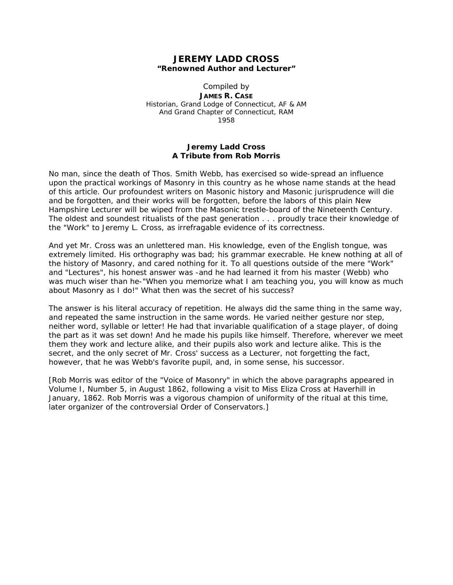# **JEREMY LADD CROSS "Renowned Author and Lecturer"**

Compiled by **JAMES R. CASE** Historian, Grand Lodge of Connecticut, AF & AM And Grand Chapter of Connecticut, RAM 1958

## **Jeremy Ladd Cross A Tribute from Rob Morris**

No man, since the death of Thos. Smith Webb, has exercised so wide-spread an influence upon the practical workings of Masonry in this country as he whose name stands at the head of this article. Our profoundest writers on Masonic history and Masonic jurisprudence will die and be forgotten, and their works will be forgotten, before the labors of this plain New Hampshire Lecturer will be wiped from the Masonic trestle-board of the Nineteenth Century. The oldest and soundest ritualists of the past generation . . . proudly trace their knowledge of the "Work" to Jeremy L. Cross, as irrefragable evidence of its correctness.

And yet Mr. Cross was an unlettered man. His knowledge, even of the English tongue, was extremely limited. His orthography was bad; his grammar execrable. He knew nothing at all of the history of Masonry, and cared nothing for it. To all questions outside of the mere "Work" and "Lectures", his honest answer was -and he had learned it from his master (Webb) who was much wiser than he-"When you memorize what I am teaching you, you will know as much about Masonry as I do!" What then was the secret of his success?

The answer is his literal accuracy of repetition. He always did the same thing in the same way, and repeated the same instruction in the same words. He varied neither gesture nor step, neither word, syllable or letter! He had that invariable qualification of a stage player, of doing the part as it was set down! And he made his pupils like himself. Therefore, wherever we meet them they work and lecture alike, and their pupils also work and lecture alike. This is the secret, and the only secret of Mr. Cross' success as a Lecturer, not forgetting the fact, however, that he was Webb's favorite pupil, and, in some sense, his successor.

[Rob Morris was editor of the "Voice of Masonry" in which the above paragraphs appeared in Volume I, Number 5, in August 1862, following a visit to Miss Eliza Cross at Haverhill in January, 1862. Rob Morris was a vigorous champion of uniformity of the ritual at this time, later organizer of the controversial Order of Conservators.]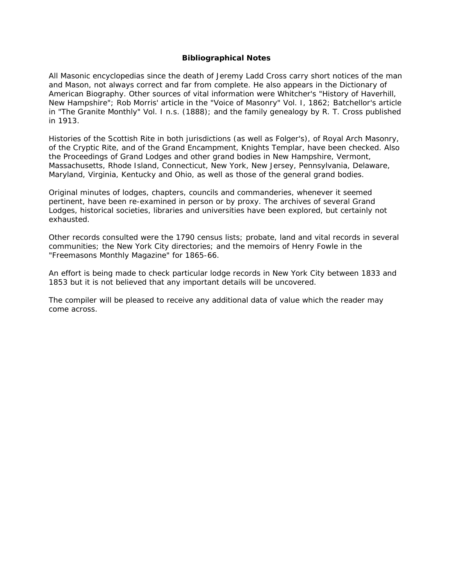### **Bibliographical Notes**

All Masonic encyclopedias since the death of Jeremy Ladd Cross carry short notices of the man and Mason, not always correct and far from complete. He also appears in the Dictionary of American Biography. Other sources of vital information were Whitcher's "History of Haverhill, New Hampshire"; Rob Morris' article in the "Voice of Masonry" Vol. I, 1862; Batchellor's article in "The Granite Monthly" Vol. I n.s. (1888); and the family genealogy by R. T. Cross published in 1913.

Histories of the Scottish Rite in both jurisdictions (as well as Folger's), of Royal Arch Masonry, of the Cryptic Rite, and of the Grand Encampment, Knights Templar, have been checked. Also the Proceedings of Grand Lodges and other grand bodies in New Hampshire, Vermont, Massachusetts, Rhode Island, Connecticut, New York, New Jersey, Pennsylvania, Delaware, Maryland, Virginia, Kentucky and Ohio, as well as those of the general grand bodies.

Original minutes of lodges, chapters, councils and commanderies, whenever it seemed pertinent, have been re-examined in person or by proxy. The archives of several Grand Lodges, historical societies, libraries and universities have been explored, but certainly not exhausted.

Other records consulted were the 1790 census lists; probate, land and vital records in several communities; the New York City directories; and the memoirs of Henry Fowle in the "Freemasons Monthly Magazine" for 1865-66.

An effort is being made to check particular lodge records in New York City between 1833 and 1853 but it is not believed that any important details will be uncovered.

The compiler will be pleased to receive any additional data of value which the reader may come across.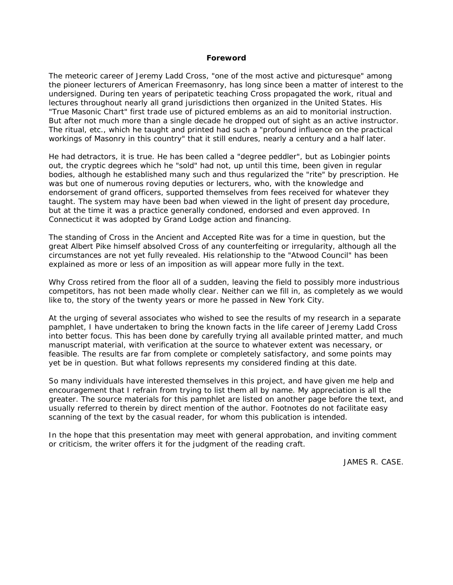#### **Foreword**

The meteoric career of Jeremy Ladd Cross, "one of the most active and picturesque" among the pioneer lecturers of American Freemasonry, has long since been a matter of interest to the undersigned. During ten years of peripatetic teaching Cross propagated the work, ritual and lectures throughout nearly all grand jurisdictions then organized in the United States. His "True Masonic Chart" first trade use of pictured emblems as an aid to monitorial instruction. But after not much more than a single decade he dropped out of sight as an active instructor. The ritual, etc., which he taught and printed had such a "profound influence on the practical workings of Masonry in this country" that it still endures, nearly a century and a half later.

He had detractors, it is true. He has been called a "degree peddler", but as Lobingier points out, the cryptic degrees which he "sold" had not, up until this time, been given in regular bodies, although he established many such and thus regularized the "rite" by prescription. He was but one of numerous roving deputies or lecturers, who, with the knowledge and endorsement of grand officers, supported themselves from fees received for whatever they taught. The system may have been bad when viewed in the light of present day procedure, but at the time it was a practice generally condoned, endorsed and even approved. In Connecticut it was adopted by Grand Lodge action and financing.

The standing of Cross in the Ancient and Accepted Rite was for a time in question, but the great Albert Pike himself absolved Cross of any counterfeiting or irregularity, although all the circumstances are not yet fully revealed. His relationship to the "Atwood Council" has been explained as more or less of an imposition as will appear more fully in the text.

Why Cross retired from the floor all of a sudden, leaving the field to possibly more industrious competitors, has not been made wholly clear. Neither can we fill in, as completely as we would like to, the story of the twenty years or more he passed in New York City.

At the urging of several associates who wished to see the results of my research in a separate pamphlet, I have undertaken to bring the known facts in the life career of Jeremy Ladd Cross into better focus. This has been done by carefully trying all available printed matter, and much manuscript material, with verification at the source to whatever extent was necessary, or feasible. The results are far from complete or completely satisfactory, and some points may yet be in question. But what follows represents my considered finding at this date.

So many individuals have interested themselves in this project, and have given me help and encouragement that I refrain from trying to list them all by name. My appreciation is all the greater. The source materials for this pamphlet are listed on another page before the text, and usually referred to therein by direct mention of the author. Footnotes do not facilitate easy scanning of the text by the casual reader, for whom this publication is intended.

In the hope that this presentation may meet with general approbation, and inviting comment or criticism, the writer offers it for the judgment of the reading craft.

JAMES R. CASE.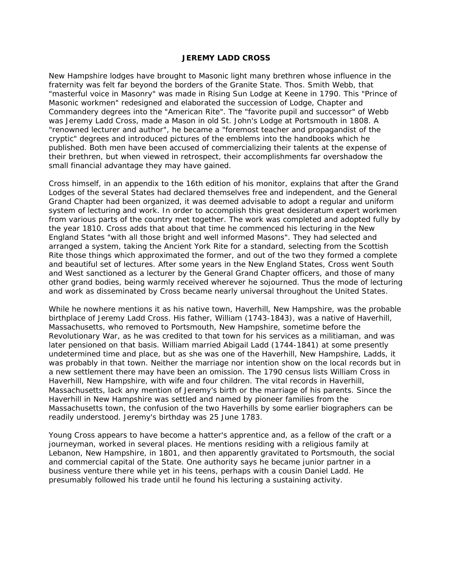### **JEREMY LADD CROSS**

New Hampshire lodges have brought to Masonic light many brethren whose influence in the fraternity was felt far beyond the borders of the Granite State. Thos. Smith Webb, that "masterful voice in Masonry" was made in Rising Sun Lodge at Keene in 1790. This "Prince of Masonic workmen" redesigned and elaborated the succession of Lodge, Chapter and Commandery degrees into the "American Rite". The "favorite pupil and successor" of Webb was Jeremy Ladd Cross, made a Mason in old St. John's Lodge at Portsmouth in 1808. A "renowned lecturer and author", he became a "foremost teacher and propagandist of the cryptic" degrees and introduced pictures of the emblems into the handbooks which he published. Both men have been accused of commercializing their talents at the expense of their brethren, but when viewed in retrospect, their accomplishments far overshadow the small financial advantage they may have gained.

Cross himself, in an appendix to the 16th edition of his monitor, explains that after the Grand Lodges of the several States had declared themselves free and independent, and the General Grand Chapter had been organized, it was deemed advisable to adopt a regular and uniform system of lecturing and work. In order to accomplish this great desideratum expert workmen from various parts of the country met together. The work was completed and adopted fully by the year 1810. Cross adds that about that time he commenced his lecturing in the New England States "with all those bright and well informed Masons". They had selected and arranged a system, taking the Ancient York Rite for a standard, selecting from the Scottish Rite those things which approximated the former, and out of the two they formed a complete and beautiful set of lectures. After some years in the New England States, Cross went South and West sanctioned as a lecturer by the General Grand Chapter officers, and those of many other grand bodies, being warmly received wherever he sojourned. Thus the mode of lecturing and work as disseminated by Cross became nearly universal throughout the United States.

While he nowhere mentions it as his native town, Haverhill, New Hampshire, was the probable birthplace of Jeremy Ladd Cross. His father, William (1743-1843), was a native of Haverhill, Massachusetts, who removed to Portsmouth, New Hampshire, sometime before the Revolutionary War, as he was credited to that town for his services as a militiaman, and was later pensioned on that basis. William married Abigail Ladd (1744-1841) at some presently undetermined time and place, but as she was one of the Haverhill, New Hampshire, Ladds, it was probably in that town. Neither the marriage nor intention show on the local records but in a new settlement there may have been an omission. The 1790 census lists William Cross in Haverhill, New Hampshire, with wife and four children. The vital records in Haverhill, Massachusetts, lack any mention of Jeremy's birth or the marriage of his parents. Since the Haverhill in New Hampshire was settled and named by pioneer families from the Massachusetts town, the confusion of the two Haverhills by some earlier biographers can be readily understood. Jeremy's birthday was 25 June 1783.

Young Cross appears to have become a hatter's apprentice and, as a fellow of the craft or a journeyman, worked in several places. He mentions residing with a religious family at Lebanon, New Hampshire, in 1801, and then apparently gravitated to Portsmouth, the social and commercial capital of the State. One authority says he became junior partner in a business venture there while yet in his teens, perhaps with a cousin Daniel Ladd. He presumably followed his trade until he found his lecturing a sustaining activity.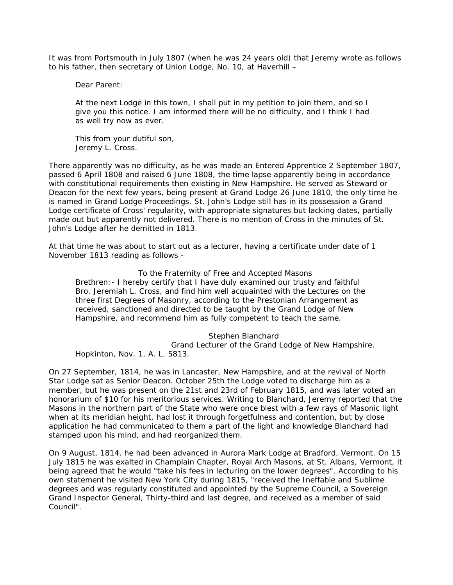It was from Portsmouth in July 1807 (when he was 24 years old) that Jeremy wrote as follows to his father, then secretary of Union Lodge, No. 10, at Haverhill –

Dear Parent:

At the next Lodge in this town, I shall put in my petition to join them, and so I give you this notice. I am informed there will be no difficulty, and I think I had as well try now as ever.

This from your dutiful son, Jeremy L. Cross.

There apparently was no difficulty, as he was made an Entered Apprentice 2 September 1807, passed 6 April 1808 and raised 6 June 1808, the time lapse apparently being in accordance with constitutional requirements then existing in New Hampshire. He served as Steward or Deacon for the next few years, being present at Grand Lodge 26 June 1810, the only time he is named in Grand Lodge Proceedings. St. John's Lodge still has in its possession a Grand Lodge certificate of Cross' regularity, with appropriate signatures but lacking dates, partially made out but apparently not delivered. There is no mention of Cross in the minutes of St. John's Lodge after he demitted in 1813.

At that time he was about to start out as a lecturer, having a certificate under date of 1 November 1813 reading as follows -

To the Fraternity of Free and Accepted Masons

Brethren:- I hereby certify that I have duly examined our trusty and faithful Bro. Jeremiah L. Cross, and find him well acquainted with the Lectures on the three first Degrees of Masonry, according to the Prestonian Arrangement as received, sanctioned and directed to be taught by the Grand Lodge of New Hampshire, and recommend him as fully competent to teach the same.

Stephen Blanchard

Grand Lecturer of the Grand Lodge of New Hampshire. Hopkinton, Nov. 1, A. L. 5813.

On 27 September, 1814, he was in Lancaster, New Hampshire, and at the revival of North Star Lodge sat as Senior Deacon. October 25th the Lodge voted to discharge him as a member, but he was present on the 21st and 23rd of February 1815, and was later voted an honorarium of \$10 for his meritorious services. Writing to Blanchard, Jeremy reported that the Masons in the northern part of the State who were once blest with a few rays of Masonic light when at its meridian height, had lost it through forgetfulness and contention, but by close application he had communicated to them a part of the light and knowledge Blanchard had stamped upon his mind, and had reorganized them.

On 9 August, 1814, he had been advanced in Aurora Mark Lodge at Bradford, Vermont. On 15 July 1815 he was exalted in Champlain Chapter, Royal Arch Masons, at St. Albans, Vermont, it being agreed that he would "take his fees in lecturing on the lower degrees". According to his own statement he visited New York City during 1815, "received the Ineffable and Sublime degrees and was regularly constituted and appointed by the Supreme Council, a Sovereign Grand Inspector General, Thirty-third and last degree, and received as a member of said Council".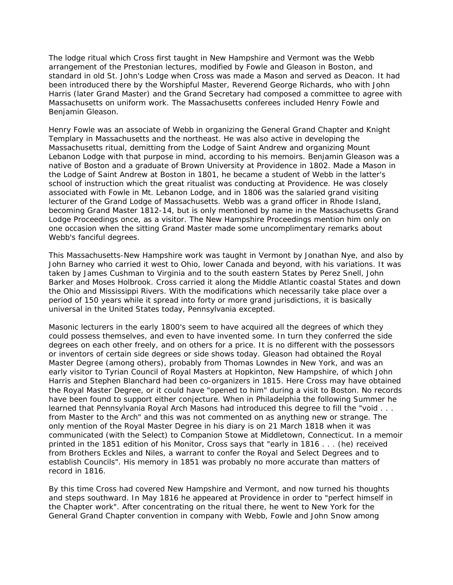The lodge ritual which Cross first taught in New Hampshire and Vermont was the Webb arrangement of the Prestonian lectures, modified by Fowle and Gleason in Boston, and standard in old St. John's Lodge when Cross was made a Mason and served as Deacon. It had been introduced there by the Worshipful Master, Reverend George Richards, who with John Harris (later Grand Master) and the Grand Secretary had composed a committee to agree with Massachusetts on uniform work. The Massachusetts conferees included Henry Fowle and Benjamin Gleason.

Henry Fowle was an associate of Webb in organizing the General Grand Chapter and Knight Templary in Massachusetts and the northeast. He was also active in developing the Massachusetts ritual, demitting from the Lodge of Saint Andrew and organizing Mount Lebanon Lodge with that purpose in mind, according to his memoirs. Benjamin Gleason was a native of Boston and a graduate of Brown University at Providence in 1802. Made a Mason in the Lodge of Saint Andrew at Boston in 1801, he became a student of Webb in the latter's school of instruction which the great ritualist was conducting at Providence. He was closely associated with Fowle in Mt. Lebanon Lodge, and in 1806 was the salaried grand visiting lecturer of the Grand Lodge of Massachusetts. Webb was a grand officer in Rhode Island, becoming Grand Master 1812-14, but is only mentioned by name in the Massachusetts Grand Lodge Proceedings once, as a visitor. The New Hampshire Proceedings mention him only on one occasion when the sitting Grand Master made some uncomplimentary remarks about Webb's fanciful degrees.

This Massachusetts-New Hampshire work was taught in Vermont by Jonathan Nye, and also by John Barney who carried it west to Ohio, lower Canada and beyond, with his variations. It was taken by James Cushman to Virginia and to the south eastern States by Perez Snell, John Barker and Moses Holbrook. Cross carried it along the Middle Atlantic coastal States and down the Ohio and Mississippi Rivers. With the modifications which necessarily take place over a period of 150 years while it spread into forty or more grand jurisdictions, it is basically universal in the United States today, Pennsylvania excepted.

Masonic lecturers in the early 1800's seem to have acquired all the degrees of which they could possess themselves, and even to have invented some. In turn they conferred the side degrees on each other freely, and on others for a price. It is no different with the possessors or inventors of certain side degrees or side shows today. Gleason had obtained the Royal Master Degree (among others), probably from Thomas Lowndes in New York, and was an early visitor to Tyrian Council of Royal Masters at Hopkinton, New Hampshire, of which John Harris and Stephen Blanchard had been co-organizers in 1815. Here Cross may have obtained the Royal Master Degree, or it could have "opened to him" during a visit to Boston. No records have been found to support either conjecture. When in Philadelphia the following Summer he learned that Pennsylvania Royal Arch Masons had introduced this degree to fill the "void . . . from Master to the Arch" and this was not commented on as anything new or strange. The only mention of the Royal Master Degree in his diary is on 21 March 1818 when it was communicated (with the Select) to Companion Stowe at Middletown, Connecticut. In a memoir printed in the 1851 edition of his Monitor, Cross says that "early in 1816 . . . (he) received from Brothers Eckles and Niles, a warrant to confer the Royal and Select Degrees and to establish Councils". His memory in 1851 was probably no more accurate than matters of record in 1816.

By this time Cross had covered New Hampshire and Vermont, and now turned his thoughts and steps southward. In May 1816 he appeared at Providence in order to "perfect himself in the Chapter work". After concentrating on the ritual there, he went to New York for the General Grand Chapter convention in company with Webb, Fowle and John Snow among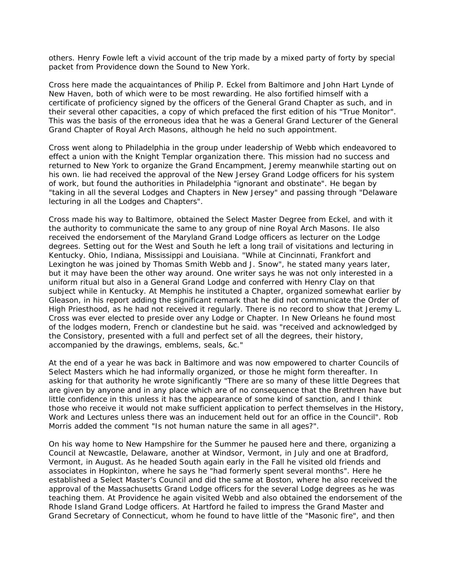others. Henry Fowle left a vivid account of the trip made by a mixed party of forty by special packet from Providence down the Sound to New York.

Cross here made the acquaintances of Philip P. Eckel from Baltimore and John Hart Lynde of New Haven, both of which were to be most rewarding. He also fortified himself with a certificate of proficiency signed by the officers of the General Grand Chapter as such, and in their several other capacities, a copy of which prefaced the first edition of his "True Monitor". This was the basis of the erroneous idea that he was a General Grand Lecturer of the General Grand Chapter of Royal Arch Masons, although he held no such appointment.

Cross went along to Philadelphia in the group under leadership of Webb which endeavored to effect a union with the Knight Templar organization there. This mission had no success and returned to New York to organize the Grand Encampment, Jeremy meanwhile starting out on his own. lie had received the approval of the New Jersey Grand Lodge officers for his system of work, but found the authorities in Philadelphia "ignorant and obstinate". He began by "taking in all the several Lodges and Chapters in New Jersey" and passing through "Delaware lecturing in all the Lodges and Chapters".

Cross made his way to Baltimore, obtained the Select Master Degree from Eckel, and with it the authority to communicate the same to any group of nine Royal Arch Masons. Ile also received the endorsement of the Maryland Grand Lodge officers as lecturer on the Lodge degrees. Setting out for the West and South he left a long trail of visitations and lecturing in Kentucky. Ohio, Indiana, Mississippi and Louisiana. "While at Cincinnati, Frankfort and Lexington he was joined by Thomas Smith Webb and J. Snow", he stated many years later, but it may have been the other way around. One writer says he was not only interested in a uniform ritual but also in a General Grand Lodge and conferred with Henry Clay on that subject while in Kentucky. At Memphis he instituted a Chapter, organized somewhat earlier by Gleason, in his report adding the significant remark that he did not communicate the Order of High Priesthood, as he had not received it regularly. There is no record to show that Jeremy L. Cross was ever elected to preside over any Lodge or Chapter. In New Orleans he found most of the lodges modern, French or clandestine but he said. was "received and acknowledged by the Consistory, presented with a full and perfect set of all the degrees, their history, accompanied by the drawings, emblems, seals, &c."

At the end of a year he was back in Baltimore and was now empowered to charter Councils of Select Masters which he had informally organized, or those he might form thereafter. In asking for that authority he wrote significantly "There are so many of these little Degrees that are given by anyone and in any place which are of no consequence that the Brethren have but little confidence in this unless it has the appearance of some kind of sanction, and I think those who receive it would not make sufficient application to perfect themselves in the History, Work and Lectures unless there was an inducement held out for an office in the Council". Rob Morris added the comment "Is not human nature the same in all ages?".

On his way home to New Hampshire for the Summer he paused here and there, organizing a Council at Newcastle, Delaware, another at Windsor, Vermont, in July and one at Bradford, Vermont, in August. As he headed South again early in the Fall he visited old friends and associates in Hopkinton, where he says he "had formerly spent several months". Here he established a Select Master's Council and did the same at Boston, where he also received the approval of the Massachusetts Grand Lodge officers for the several Lodge degrees as he was teaching them. At Providence he again visited Webb and also obtained the endorsement of the Rhode Island Grand Lodge officers. At Hartford he failed to impress the Grand Master and Grand Secretary of Connecticut, whom he found to have little of the "Masonic fire", and then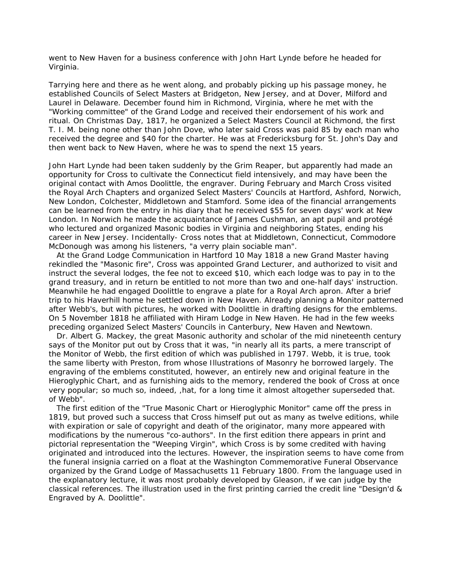went to New Haven for a business conference with John Hart Lynde before he headed for Virginia.

Tarrying here and there as he went along, and probably picking up his passage money, he established Councils of Select Masters at Bridgeton, New Jersey, and at Dover, Milford and Laurel in Delaware. December found him in Richmond, Virginia, where he met with the "Working committee" of the Grand Lodge and received their endorsement of his work and ritual. On Christmas Day, 1817, he organized a Select Masters Council at Richmond, the first T. I. M. being none other than John Dove, who later said Cross was paid 85 by each man who received the degree and \$40 for the charter. He was at Fredericksburg for St. John's Day and then went back to New Haven, where he was to spend the next 15 years.

John Hart Lynde had been taken suddenly by the Grim Reaper, but apparently had made an opportunity for Cross to cultivate the Connecticut field intensively, and may have been the original contact with Amos Doolittle, the engraver. During February and March Cross visited the Royal Arch Chapters and organized Select Masters' Councils at Hartford, Ashford, Norwich, New London, Colchester, Middletown and Stamford. Some idea of the financial arrangements can be learned from the entry in his diary that he received \$55 for seven days' work at New London. In Norwich he made the acquaintance of James Cushman, an apt pupil and protégé who lectured and organized Masonic bodies in Virginia and neighboring States, ending his career in New Jersey. Incidentally- Cross notes that at Middletown, Connecticut, Commodore McDonough was among his listeners, "a verry plain sociable man".

 At the Grand Lodge Communication in Hartford 10 May 1818 a new Grand Master having rekindled the "Masonic fire", Cross was appointed Grand Lecturer, and authorized to visit and instruct the several lodges, the fee not to exceed \$10, which each lodge was to pay in to the grand treasury, and in return be entitled to not more than two and one-half days' instruction. Meanwhile he had engaged Doolittle to engrave a plate for a Royal Arch apron. After a brief trip to his Haverhill home he settled down in New Haven. Already planning a Monitor patterned after Webb's, but with pictures, he worked with Doolittle in drafting designs for the emblems. On 5 November 1818 he affiliated with Hiram Lodge in New Haven. He had in the few weeks preceding organized Select Masters' Councils in Canterbury, New Haven and Newtown.

 Dr. Albert G. Mackey, the great Masonic authority and scholar of the mid nineteenth century says of the Monitor put out by Cross that it was, "in nearly all its parts, a mere transcript of the Monitor of Webb, the first edition of which was published in 1797. Webb, it is true, took the same liberty with Preston, from whose Illustrations of Masonry he borrowed largely. The engraving of the emblems constituted, however, an entirely new and original feature in the Hieroglyphic Chart, and as furnishing aids to the memory, rendered the book of Cross at once very popular; so much so, indeed, , hat, for a long time it almost altogether superseded that. of Webb".

 The first edition of the "True Masonic Chart or Hieroglyphic Monitor" came off the press in 1819, but proved such a success that Cross himself put out as many as twelve editions, while with expiration or sale of copyright and death of the originator, many more appeared with modifications by the numerous "co-authors". In the first edition there appears in print and pictorial representation the "Weeping Virgin", which Cross is by some credited with having originated and introduced into the lectures. However, the inspiration seems to have come from the funeral insignia carried on a float at the Washington Commemorative Funeral Observance organized by the Grand Lodge of Massachusetts 11 February 1800. From the language used in the explanatory lecture, it was most probably developed by Gleason, if we can judge by the classical references. The illustration used in the first printing carried the credit line "Design'd & Engraved by A. Doolittle".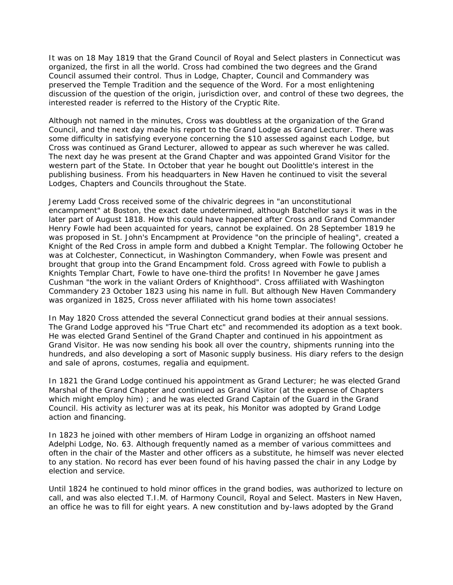It was on 18 May 1819 that the Grand Council of Royal and Select plasters in Connecticut was organized, the first in all the world. Cross had combined the two degrees and the Grand Council assumed their control. Thus in Lodge, Chapter, Council and Commandery was preserved the Temple Tradition and the sequence of the Word. For a most enlightening discussion of the question of the origin, jurisdiction over, and control of these two degrees, the interested reader is referred to the History of the Cryptic Rite.

Although not named in the minutes, Cross was doubtless at the organization of the Grand Council, and the next day made his report to the Grand Lodge as Grand Lecturer. There was some difficulty in satisfying everyone concerning the \$10 assessed against each Lodge, but Cross was continued as Grand Lecturer, allowed to appear as such wherever he was called. The next day he was present at the Grand Chapter and was appointed Grand Visitor for the western part of the State. In October that year he bought out Doolittle's interest in the publishing business. From his headquarters in New Haven he continued to visit the several Lodges, Chapters and Councils throughout the State.

Jeremy Ladd Cross received some of the chivalric degrees in "an unconstitutional encampment" at Boston, the exact date undetermined, although Batchellor says it was in the later part of August 1818. How this could have happened after Cross and Grand Commander Henry Fowle had been acquainted for years, cannot be explained. On 28 September 1819 he was proposed in St. John's Encampment at Providence "on the principle of healing", created a Knight of the Red Cross in ample form and dubbed a Knight Templar. The following October he was at Colchester, Connecticut, in Washington Commandery, when Fowle was present and brought that group into the Grand Encampment fold. Cross agreed with Fowle to publish a Knights Templar Chart, Fowle to have one-third the profits! In November he gave James Cushman "the work in the valiant Orders of Knighthood". Cross affiliated with Washington Commandery 23 October 1823 using his name in full. But although New Haven Commandery was organized in 1825, Cross never affiliated with his home town associates!

In May 1820 Cross attended the several Connecticut grand bodies at their annual sessions. The Grand Lodge approved his "True Chart etc" and recommended its adoption as a text book. He was elected Grand Sentinel of the Grand Chapter and continued in his appointment as Grand Visitor. He was now sending his book all over the country, shipments running into the hundreds, and also developing a sort of Masonic supply business. His diary refers to the design and sale of aprons, costumes, regalia and equipment.

In 1821 the Grand Lodge continued his appointment as Grand Lecturer; he was elected Grand Marshal of the Grand Chapter and continued as Grand Visitor (at the expense of Chapters which might employ him); and he was elected Grand Captain of the Guard in the Grand Council. His activity as lecturer was at its peak, his Monitor was adopted by Grand Lodge action and financing.

In 1823 he joined with other members of Hiram Lodge in organizing an offshoot named Adelphi Lodge, No. 63. Although frequently named as a member of various committees and often in the chair of the Master and other officers as a substitute, he himself was never elected to any station. No record has ever been found of his having passed the chair in any Lodge by election and service.

Until 1824 he continued to hold minor offices in the grand bodies, was authorized to lecture on call, and was also elected T.I.M. of Harmony Council, Royal and Select. Masters in New Haven, an office he was to fill for eight years. A new constitution and by-laws adopted by the Grand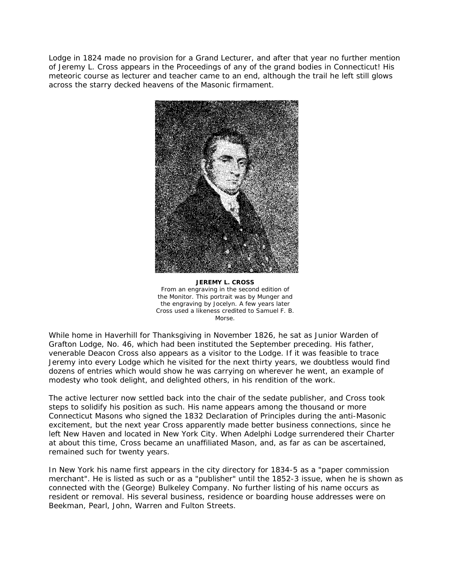Lodge in 1824 made no provision for a Grand Lecturer, and after that year no further mention of Jeremy L. Cross appears in the Proceedings of any of the grand bodies in Connecticut! His meteoric course as lecturer and teacher came to an end, although the trail he left still glows across the starry decked heavens of the Masonic firmament.



**JEREMY L. CROSS**  From an engraving in the second edition of the Monitor. This portrait was by Munger and the engraving by Jocelyn. A few years later Cross used a likeness credited to Samuel F. B. Morse.

While home in Haverhill for Thanksgiving in November 1826, he sat as Junior Warden of Grafton Lodge, No. 46, which had been instituted the September preceding. His father, venerable Deacon Cross also appears as a visitor to the Lodge. If it was feasible to trace Jeremy into every Lodge which he visited for the next thirty years, we doubtless would find dozens of entries which would show he was carrying on wherever he went, an example of modesty who took delight, and delighted others, in his rendition of the work.

The active lecturer now settled back into the chair of the sedate publisher, and Cross took steps to solidify his position as such. His name appears among the thousand or more Connecticut Masons who signed the 1832 Declaration of Principles during the anti-Masonic excitement, but the next year Cross apparently made better business connections, since he left New Haven and located in New York City. When Adelphi Lodge surrendered their Charter at about this time, Cross became an unaffiliated Mason, and, as far as can be ascertained, remained such for twenty years.

In New York his name first appears in the city directory for 1834-5 as a "paper commission merchant". He is listed as such or as a "publisher" until the 1852-3 issue, when he is shown as connected with the (George) Bulkeley Company. No further listing of his name occurs as resident or removal. His several business, residence or boarding house addresses were on Beekman, Pearl, John, Warren and Fulton Streets.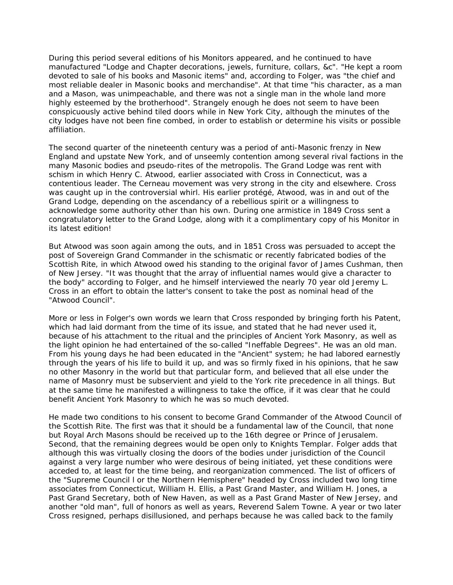During this period several editions of his Monitors appeared, and he continued to have manufactured "Lodge and Chapter decorations, jewels, furniture, collars, &c". "He kept a room devoted to sale of his books and Masonic items" and, according to Folger, was "the chief and most reliable dealer in Masonic books and merchandise". At that time "his character, as a man and a Mason, was unimpeachable, and there was not a single man in the whole land more highly esteemed by the brotherhood". Strangely enough he does not seem to have been conspicuously active behind tiled doors while in New York City, although the minutes of the city lodges have not been fine combed, in order to establish or determine his visits or possible affiliation.

The second quarter of the nineteenth century was a period of anti-Masonic frenzy in New England and upstate New York, and of unseemly contention among several rival factions in the many Masonic bodies and pseudo-rites of the metropolis. The Grand Lodge was rent with schism in which Henry C. Atwood, earlier associated with Cross in Connecticut, was a contentious leader. The Cerneau movement was very strong in the city and elsewhere. Cross was caught up in the controversial whirl. His earlier protégé, Atwood, was in and out of the Grand Lodge, depending on the ascendancy of a rebellious spirit or a willingness to acknowledge some authority other than his own. During one armistice in 1849 Cross sent a congratulatory letter to the Grand Lodge, along with it a complimentary copy of his Monitor in its latest edition!

But Atwood was soon again among the outs, and in 1851 Cross was persuaded to accept the post of Sovereign Grand Commander in the schismatic or recently fabricated bodies of the Scottish Rite, in which Atwood owed his standing to the original favor of James Cushman, then of New Jersey. "It was thought that the array of influential names would give a character to the body" according to Folger, and he himself interviewed the nearly 70 year old Jeremy L. Cross in an effort to obtain the latter's consent to take the post as nominal head of the "Atwood Council".

More or less in Folger's own words we learn that Cross responded by bringing forth his Patent, which had laid dormant from the time of its issue, and stated that he had never used it, because of his attachment to the ritual and the principles of Ancient York Masonry, as well as the light opinion he had entertained of the so-called "Ineffable Degrees". He was an old man. From his young days he had been educated in the "Ancient" system; he had labored earnestly through the years of his life to build it up, and was so firmly fixed in his opinions, that he saw no other Masonry in the world but that particular form, and believed that all else under the name of Masonry must be subservient and yield to the York rite precedence in all things. But at the same time he manifested a willingness to take the office, if it was clear that he could benefit Ancient York Masonry to which he was so much devoted.

He made two conditions to his consent to become Grand Commander of the Atwood Council of the Scottish Rite. The first was that it should be a fundamental law of the Council, that none but Royal Arch Masons should be received up to the 16th degree or Prince of Jerusalem. Second, that the remaining degrees would be open only to Knights Templar. Folger adds that although this was virtually closing the doors of the bodies under jurisdiction of the Council against a very large number who were desirous of being initiated, yet these conditions were acceded to, at least for the time being, and reorganization commenced. The list of officers of the "Supreme Council l or the Northern Hemisphere" headed by Cross included two long time associates from Connecticut, William H. Ellis, a Past Grand Master, and William H. Jones, a Past Grand Secretary, both of New Haven, as well as a Past Grand Master of New Jersey, and another "old man", full of honors as well as years, Reverend Salem Towne. A year or two later Cross resigned, perhaps disillusioned, and perhaps because he was called back to the family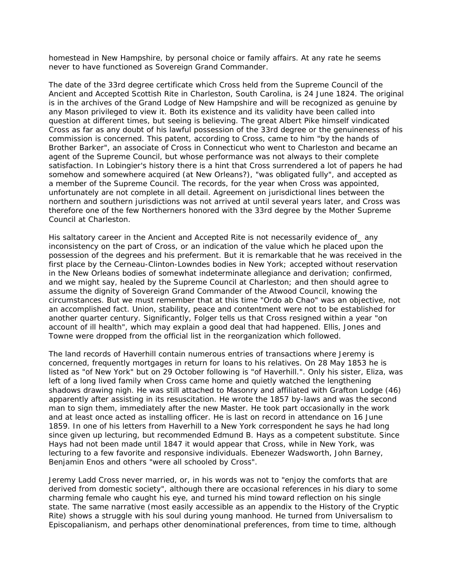homestead in New Hampshire, by personal choice or family affairs. At any rate he seems never to have functioned as Sovereign Grand Commander.

The date of the 33rd degree certificate which Cross held from the Supreme Council of the Ancient and Accepted Scottish Rite in Charleston, South Carolina, is 24 June 1824. The original is in the archives of the Grand Lodge of New Hampshire and will be recognized as genuine by any Mason privileged to view it. Both its existence and its validity have been called into question at different times, but seeing is believing. The great Albert Pike himself vindicated Cross as far as any doubt of his lawful possession of the 33rd degree or the genuineness of his commission is concerned. This patent, according to Cross, came to him "by the hands of Brother Barker", an associate of Cross in Connecticut who went to Charleston and became an agent of the Supreme Council, but whose performance was not always to their complete satisfaction. In Lobingier's history there is a hint that Cross surrendered a lot of papers he had somehow and somewhere acquired (at New Orleans?), "was obligated fully", and accepted as a member of the Supreme Council. The records, for the year when Cross was appointed, unfortunately are not complete in all detail. Agreement on jurisdictional lines between the northern and southern jurisdictions was not arrived at until several years later, and Cross was therefore one of the few Northerners honored with the 33rd degree by the Mother Supreme Council at Charleston.

His saltatory career in the Ancient and Accepted Rite is not necessarily evidence of any inconsistency on the part of Cross, or an indication of the value which he placed upon the possession of the degrees and his preferment. But it is remarkable that he was received in the first place by the Cerneau-Clinton-Lowndes bodies in New York; accepted without reservation in the New Orleans bodies of somewhat indeterminate allegiance and derivation; confirmed, and we might say, healed by the Supreme Council at Charleston; and then should agree to assume the dignity of Sovereign Grand Commander of the Atwood Council, knowing the circumstances. But we must remember that at this time "Ordo ab Chao" was an objective, not an accomplished fact. Union, stability, peace and contentment were not to be established for another quarter century. Significantly, Folger tells us that Cross resigned within a year "on account of ill health", which may explain a good deal that had happened. Ellis, Jones and Towne were dropped from the official list in the reorganization which followed.

The land records of Haverhill contain numerous entries of transactions where Jeremy is concerned, frequently mortgages in return for loans to his relatives. On 28 May 1853 he is listed as "of New York" but on 29 October following is "of Haverhill.". Only his sister, Eliza, was left of a long lived family when Cross came home and quietly watched the lengthening shadows drawing nigh. He was still attached to Masonry and affiliated with Grafton Lodge (46) apparently after assisting in its resuscitation. He wrote the 1857 by-laws and was the second man to sign them, immediately after the new Master. He took part occasionally in the work and at least once acted as installing officer. He is last on record in attendance on 16 June 1859. In one of his letters from Haverhill to a New York correspondent he says he had long since given up lecturing, but recommended Edmund B. Hays as a competent substitute. Since Hays had not been made until 1847 it would appear that Cross, while in New York, was lecturing to a few favorite and responsive individuals. Ebenezer Wadsworth, John Barney, Benjamin Enos and others "were all schooled by Cross".

Jeremy Ladd Cross never married, or, in his words was not to "enjoy the comforts that are derived from domestic society", although there are occasional references in his diary to some charming female who caught his eye, and turned his mind toward reflection on his single state. The same narrative (most easily accessible as an appendix to the History of the Cryptic Rite) shows a struggle with his soul during young manhood. He turned from Universalism to Episcopalianism, and perhaps other denominational preferences, from time to time, although